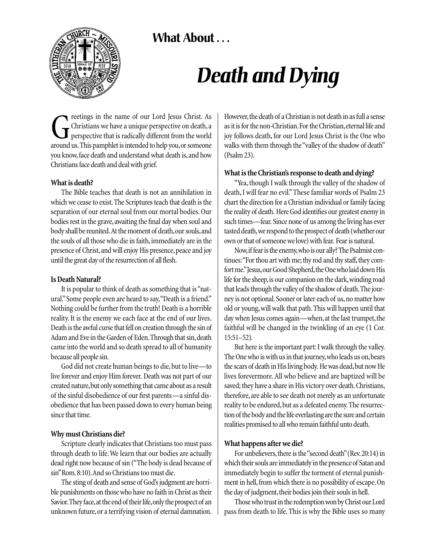# **What About . . .**



# *Death and Dying*

reetings in the name of our Lord Jesus Christ. As<br>Christians we have a unique perspective on death, a<br>perspective that is radically different from the world<br>around us. This pamphlet is intended to help you, or someone Christians we have a unique perspective on death, a perspective that is radically different from the world around us.This pamphlet is intended to help you,or someone you know, face death and understand what death is, and how Christians face death and deal with grief.

#### **What is death?**

The Bible teaches that death is not an annihilation in which we cease to exist.The Scriptures teach that death is the separation of our eternal soul from our mortal bodies. Our bodies rest in the grave, awaiting the final day when soul and body shall be reunited. At the moment of death, our souls, and the souls of all those who die in faith, immediately are in the presence of Christ, and will enjoy His presence, peace and joy until the great day of the resurrection of all flesh.

#### **Is Death Natural?**

It is popular to think of death as something that is "natural."Some people even are heard to say,"Death is a friend." Nothing could be further from the truth! Death is a horrible reality. It is the enemy we each face at the end of our lives. Death is the awful curse that fell on creation through the sin of Adam and Eve in the Garden of Eden. Through that sin, death came into the world and so death spread to all of humanity because all people sin.

God did not create human beings to die, but to live—to live forever and enjoy Him forever. Death was not part of our created nature,but only something that came about as a result of the sinful disobedience of our first parents—a sinful disobedience that has been passed down to every human being since that time.

## **Why must Christians die?**

Scripture clearly indicates that Christians too must pass through death to life. We learn that our bodies are actually dead right now because of sin ("The body is dead because of sin"Rom.8:10).And so Christians too must die.

The sting of death and sense of God's judgment are horrible punishments on those who have no faith in Christ as their Savior. They face, at the end of their life, only the prospect of an unknown future, or a terrifying vision of eternal damnation. However,the death of a Christian is not death in as full a sense as it is for the non-Christian. For the Christian, eternal life and joy follows death, for our Lord Jesus Christ is the One who walks with them through the "valley of the shadow of death" (Psalm 23).

## **What is the Christian's response to death and dying?**

"Yea, though I walk through the valley of the shadow of death, I will fear no evil." These familiar words of Psalm 23 chart the direction for a Christian individual or family facing the reality of death. Here God identifies our greatest enemy in such times—fear. Since none of us among the living has ever tasted death,we respond to the prospect of death (whether our own or that of someone we love) with fear. Fear is natural.

Now,if fear is the enemy,who is our ally? The Psalmist continues: "For thou art with me; thy rod and thy staff, they comfort me." Jesus, our Good Shepherd, the One who laid down His life for the sheep, is our companion on the dark, winding road that leads through the valley of the shadow of death.The journey is not optional. Sooner or later each of us, no matter how old or young, will walk that path. This will happen until that day when Jesus comes again—when, at the last trumpet, the faithful will be changed in the twinkling of an eye (1 Cor. 15:51–52).

But here is the important part: I walk through the valley. The One who is with us in that journey, who leads us on, bears the scars of death in His living body. He was dead, but now He lives forevermore. All who believe and are baptized will be saved; they have a share in His victory over death.Christians, therefore, are able to see death not merely as an unfortunate reality to be endured, but as a defeated enemy. The resurrection of the body and the life everlasting are the sure and certain realities promised to all who remain faithful unto death.

## **What happens after we die?**

For unbelievers, there is the "second death" (Rev. 20:14) in which their souls are immediately in the presence of Satan and immediately begin to suffer the torment of eternal punishment in hell, from which there is no possibility of escape.On the day of judgment, their bodies join their souls in hell.

Those who trust in the redemption won by Christ our Lord pass from death to life. This is why the Bible uses so many